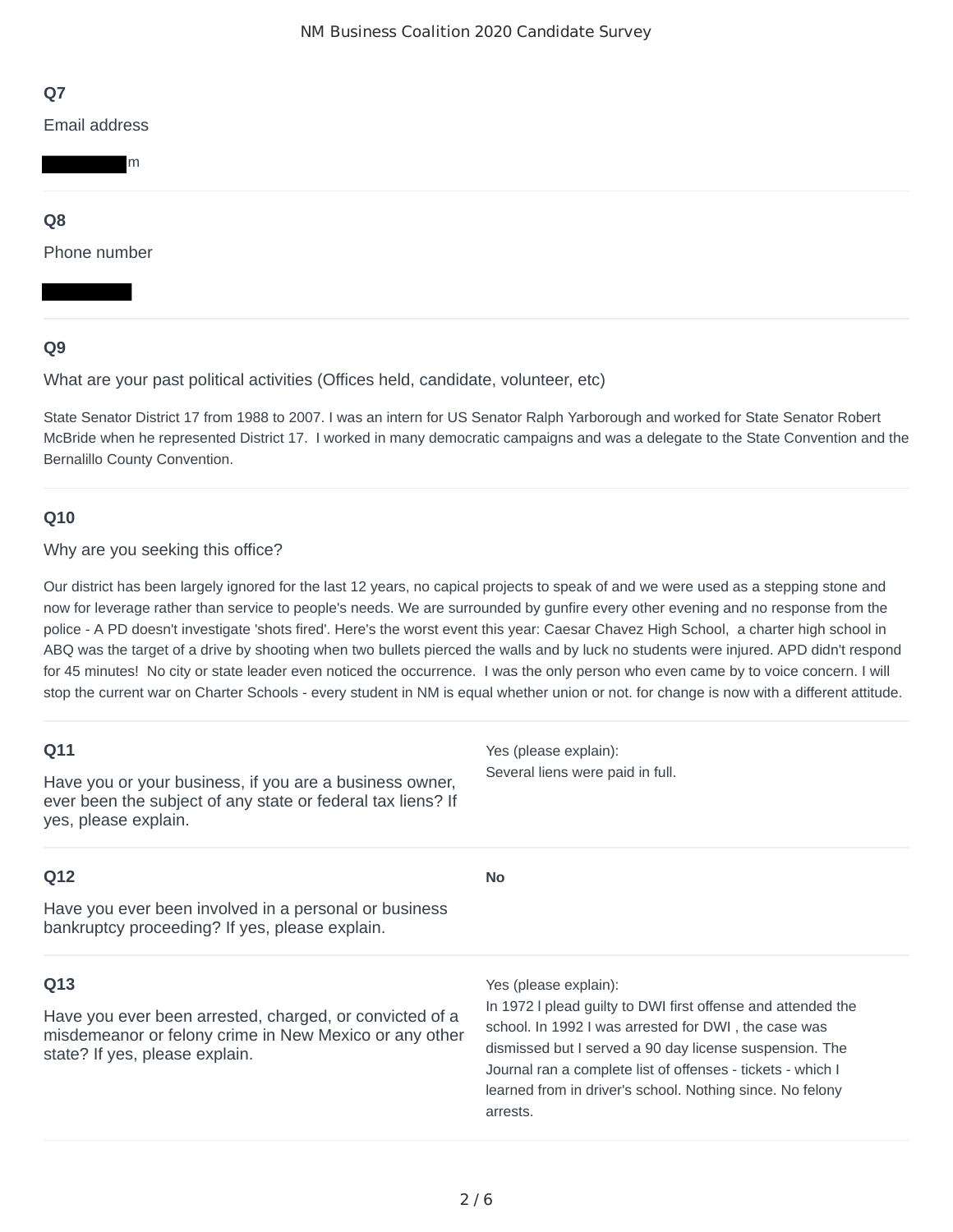Email address

m

# **Q8**

Phone number

# **Q9**

## What are your past political activities (Offices held, candidate, volunteer, etc)

State Senator District 17 from 1988 to 2007. I was an intern for US Senator Ralph Yarborough and worked for State Senator Robert McBride when he represented District 17. I worked in many democratic campaigns and was a delegate to the State Convention and the Bernalillo County Convention.

# **Q10**

#### Why are you seeking this office?

Our district has been largely ignored for the last 12 years, no capical projects to speak of and we were used as a stepping stone and now for leverage rather than service to people's needs. We are surrounded by gunfire every other evening and no response from the police - A PD doesn't investigate 'shots fired'. Here's the worst event this year: Caesar Chavez High School, a charter high school in ABQ was the target of a drive by shooting when two bullets pierced the walls and by luck no students were injured. APD didn't respond for 45 minutes! No city or state leader even noticed the occurrence. I was the only person who even came by to voice concern. I will stop the current war on Charter Schools - every student in NM is equal whether union or not. for change is now with a different attitude.

| Q11<br>Have you or your business, if you are a business owner,<br>ever been the subject of any state or federal tax liens? If<br>yes, please explain. | Yes (please explain):<br>Several liens were paid in full.                                                                                                                                                                                                                                                               |
|-------------------------------------------------------------------------------------------------------------------------------------------------------|-------------------------------------------------------------------------------------------------------------------------------------------------------------------------------------------------------------------------------------------------------------------------------------------------------------------------|
| Q12                                                                                                                                                   | <b>No</b>                                                                                                                                                                                                                                                                                                               |
| Have you ever been involved in a personal or business<br>bankruptcy proceeding? If yes, please explain.                                               |                                                                                                                                                                                                                                                                                                                         |
| Q13                                                                                                                                                   | Yes (please explain):                                                                                                                                                                                                                                                                                                   |
| Have you ever been arrested, charged, or convicted of a<br>misdemeanor or felony crime in New Mexico or any other<br>state? If yes, please explain.   | In 1972 I plead guilty to DWI first offense and attended the<br>school. In 1992 I was arrested for DWI, the case was<br>dismissed but I served a 90 day license suspension. The<br>Journal ran a complete list of offenses - tickets - which I<br>learned from in driver's school. Nothing since. No felony<br>arrests. |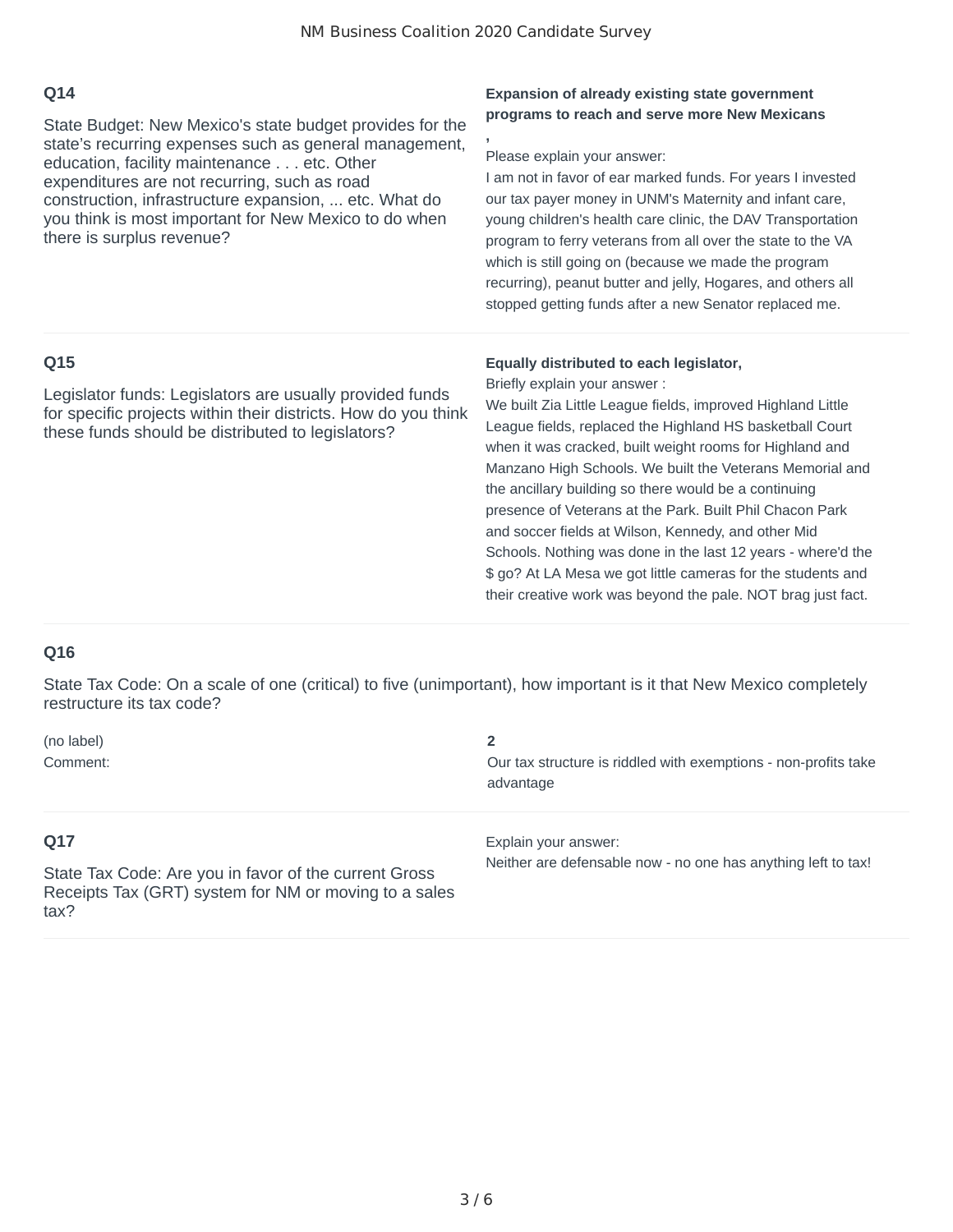**,**

# **Q14**

State Budget: New Mexico's state budget provides for the state's recurring expenses such as general management, education, facility maintenance . . . etc. Other expenditures are not recurring, such as road construction, infrastructure expansion, ... etc. What do you think is most important for New Mexico to do when there is surplus revenue?

#### **Expansion of already existing state government programs to reach and serve more New Mexicans**

#### Please explain your answer:

I am not in favor of ear marked funds. For years I invested our tax payer money in UNM's Maternity and infant care, young children's health care clinic, the DAV Transportation program to ferry veterans from all over the state to the VA which is still going on (because we made the program recurring), peanut butter and jelly, Hogares, and others all stopped getting funds after a new Senator replaced me.

## **Q15**

Legislator funds: Legislators are usually provided funds for specific projects within their districts. How do you think these funds should be distributed to legislators?

#### **Equally distributed to each legislator,**

Briefly explain your answer :

We built Zia Little League fields, improved Highland Little League fields, replaced the Highland HS basketball Court when it was cracked, built weight rooms for Highland and Manzano High Schools. We built the Veterans Memorial and the ancillary building so there would be a continuing presence of Veterans at the Park. Built Phil Chacon Park and soccer fields at Wilson, Kennedy, and other Mid Schools. Nothing was done in the last 12 years - where'd the \$ go? At LA Mesa we got little cameras for the students and their creative work was beyond the pale. NOT brag just fact.

# **Q16**

State Tax Code: On a scale of one (critical) to five (unimportant), how important is it that New Mexico completely restructure its tax code?

| (no label) |                                                                 |
|------------|-----------------------------------------------------------------|
| Comment:   | Our tax structure is riddled with exemptions - non-profits take |
|            | anctriculac                                                     |

# **Q17**

State Tax Code: Are you in favor of the current Gross Receipts Tax (GRT) system for NM or moving to a sales tax?

advantage

Explain your answer:

Neither are defensable now - no one has anything left to tax!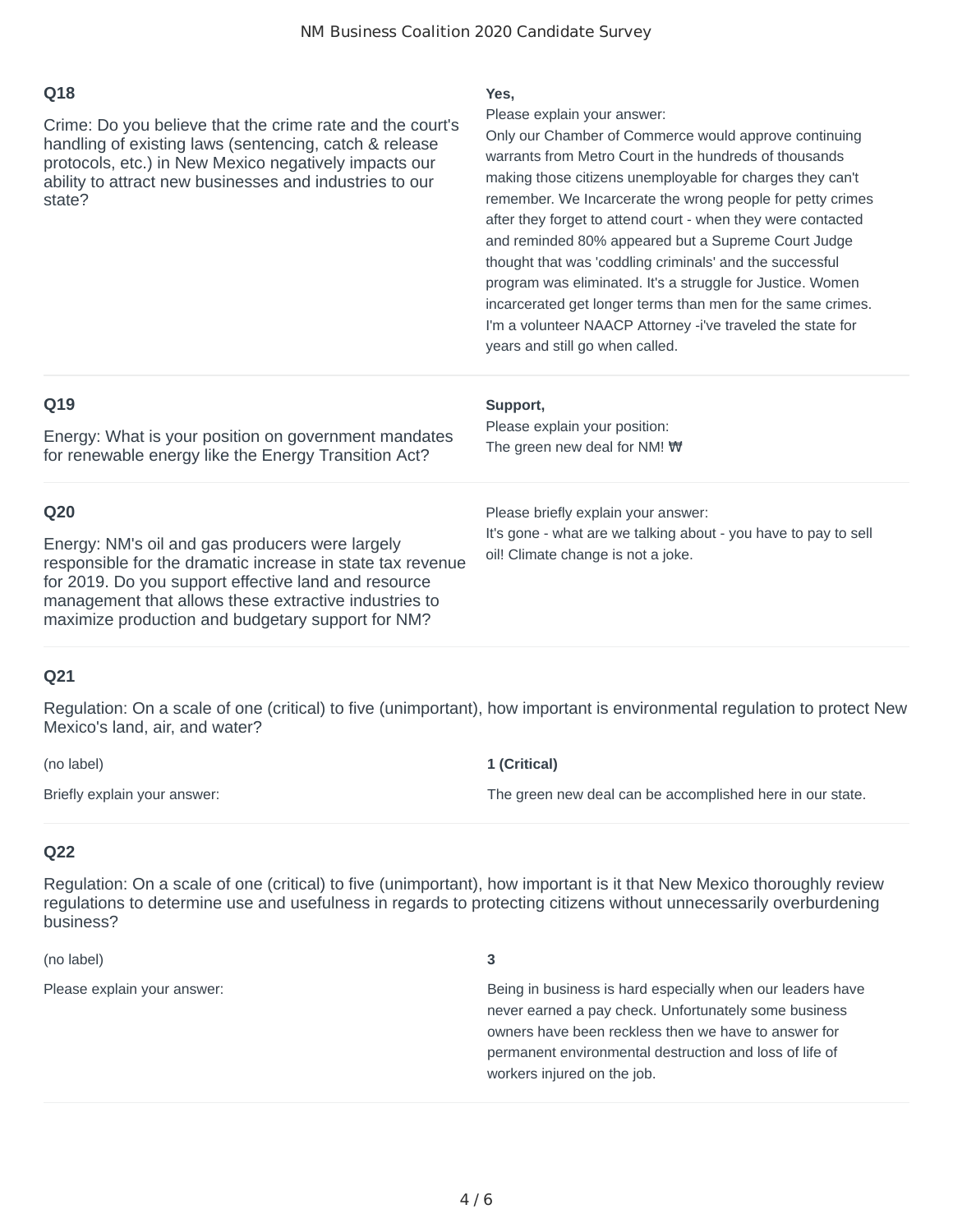Crime: Do you believe that the crime rate and the court's handling of existing laws (sentencing, catch & release protocols, etc.) in New Mexico negatively impacts our ability to attract new businesses and industries to our state?

#### **Yes,**

Please explain your answer:

Only our Chamber of Commerce would approve continuing warrants from Metro Court in the hundreds of thousands making those citizens unemployable for charges they can't remember. We Incarcerate the wrong people for petty crimes after they forget to attend court - when they were contacted and reminded 80% appeared but a Supreme Court Judge thought that was 'coddling criminals' and the successful program was eliminated. It's a struggle for Justice. Women incarcerated get longer terms than men for the same crimes. I'm a volunteer NAACP Attorney -i've traveled the state for years and still go when called.

| Q19                                                                                                                                                                                                                                                                                        | Support,                                                                                                                                     |
|--------------------------------------------------------------------------------------------------------------------------------------------------------------------------------------------------------------------------------------------------------------------------------------------|----------------------------------------------------------------------------------------------------------------------------------------------|
| Energy: What is your position on government mandates                                                                                                                                                                                                                                       | Please explain your position:                                                                                                                |
| for renewable energy like the Energy Transition Act?                                                                                                                                                                                                                                       | The green new deal for NM! $\forall$                                                                                                         |
| Q20<br>Energy: NM's oil and gas producers were largely<br>responsible for the dramatic increase in state tax revenue<br>for 2019. Do you support effective land and resource<br>management that allows these extractive industries to<br>maximize production and budgetary support for NM? | Please briefly explain your answer:<br>It's gone - what are we talking about - you have to pay to sell<br>oil! Climate change is not a joke. |

## **Q21**

Regulation: On a scale of one (critical) to five (unimportant), how important is environmental regulation to protect New Mexico's land, air, and water?

| (no label)                   | 1 (Critical)                                              |
|------------------------------|-----------------------------------------------------------|
| Briefly explain your answer: | The green new deal can be accomplished here in our state. |

## **Q22**

Regulation: On a scale of one (critical) to five (unimportant), how important is it that New Mexico thoroughly review regulations to determine use and usefulness in regards to protecting citizens without unnecessarily overburdening business?

(no label) **3**

Please explain your answer: Being in business is hard especially when our leaders have never earned a pay check. Unfortunately some business owners have been reckless then we have to answer for permanent environmental destruction and loss of life of workers injured on the job.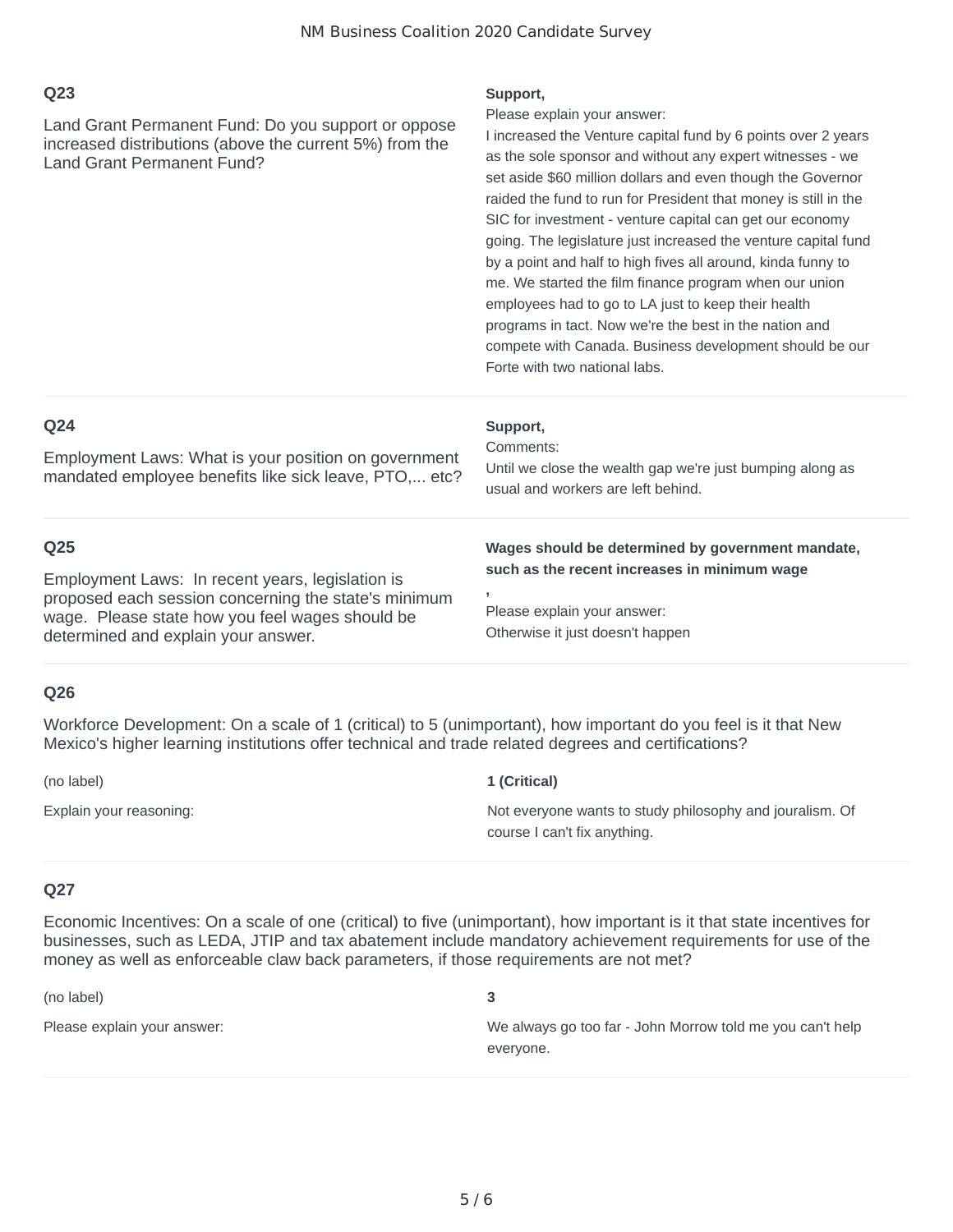Land Grant Permanent Fund: Do you support or oppose increased distributions (above the current 5%) from the Land Grant Permanent Fund?

#### **Support,**

Please explain your answer:

I increased the Venture capital fund by 6 points over 2 years as the sole sponsor and without any expert witnesses - we set aside \$60 million dollars and even though the Governor raided the fund to run for President that money is still in the SIC for investment - venture capital can get our economy going. The legislature just increased the venture capital fund by a point and half to high fives all around, kinda funny to me. We started the film finance program when our union employees had to go to LA just to keep their health programs in tact. Now we're the best in the nation and compete with Canada. Business development should be our Forte with two national labs.

#### **Q24**

Employment Laws: What is your position on government mandated employee benefits like sick leave, PTO,... etc?

#### **Q25**

Employment Laws: In recent years, legislation is proposed each session concerning the state's minimum wage. Please state how you feel wages should be determined and explain your answer.

## **Support,**

**,**

Comments:

Until we close the wealth gap we're just bumping along as usual and workers are left behind.

#### **Wages should be determined by government mandate, such as the recent increases in minimum wage**

Otherwise it just doesn't happen Please explain your answer:

## **Q26**

Workforce Development: On a scale of 1 (critical) to 5 (unimportant), how important do you feel is it that New Mexico's higher learning institutions offer technical and trade related degrees and certifications?

#### (no label) **1 (Critical)**

Explain your reasoning: Not everyone wants to study philosophy and jouralism. Of course I can't fix anything.

## **Q27**

Economic Incentives: On a scale of one (critical) to five (unimportant), how important is it that state incentives for businesses, such as LEDA, JTIP and tax abatement include mandatory achievement requirements for use of the money as well as enforceable claw back parameters, if those requirements are not met?

(no label) **3**

Please explain your answer: We always go too far - John Morrow told me you can't help everyone.